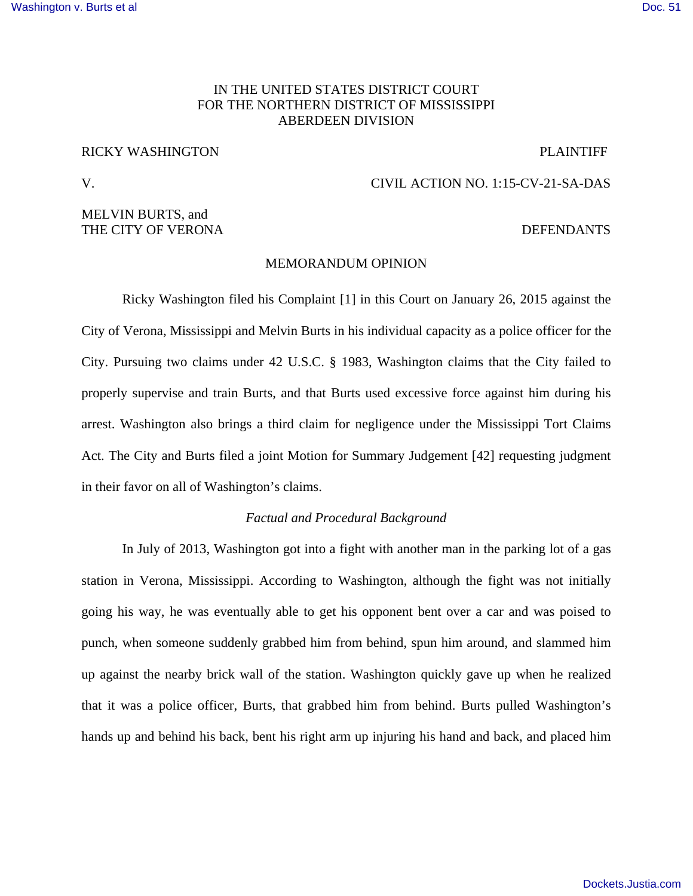# IN THE UNITED STATES DISTRICT COURT FOR THE NORTHERN DISTRICT OF MISSISSIPPI ABERDEEN DIVISION

# RICKY WASHINGTON PLAINTIFF

# MELVIN BURTS, and THE CITY OF VERONA **EXECUTE A SET OF SECURE 2** OF THE CITY OF VERONA

# V. CIVIL ACTION NO. 1:15-CV-21-SA-DAS

#### MEMORANDUM OPINION

Ricky Washington filed his Complaint [1] in this Court on January 26, 2015 against the City of Verona, Mississippi and Melvin Burts in his individual capacity as a police officer for the City. Pursuing two claims under 42 U.S.C. § 1983, Washington claims that the City failed to properly supervise and train Burts, and that Burts used excessive force against him during his arrest. Washington also brings a third claim for negligence under the Mississippi Tort Claims Act. The City and Burts filed a joint Motion for Summary Judgement [42] requesting judgment in their favor on all of Washington's claims.

# *Factual and Procedural Background*

In July of 2013, Washington got into a fight with another man in the parking lot of a gas station in Verona, Mississippi. According to Washington, although the fight was not initially going his way, he was eventually able to get his opponent bent over a car and was poised to punch, when someone suddenly grabbed him from behind, spun him around, and slammed him up against the nearby brick wall of the station. Washington quickly gave up when he realized that it was a police officer, Burts, that grabbed him from behind. Burts pulled Washington's hands up and behind his back, bent his right arm up injuring his hand and back, and placed him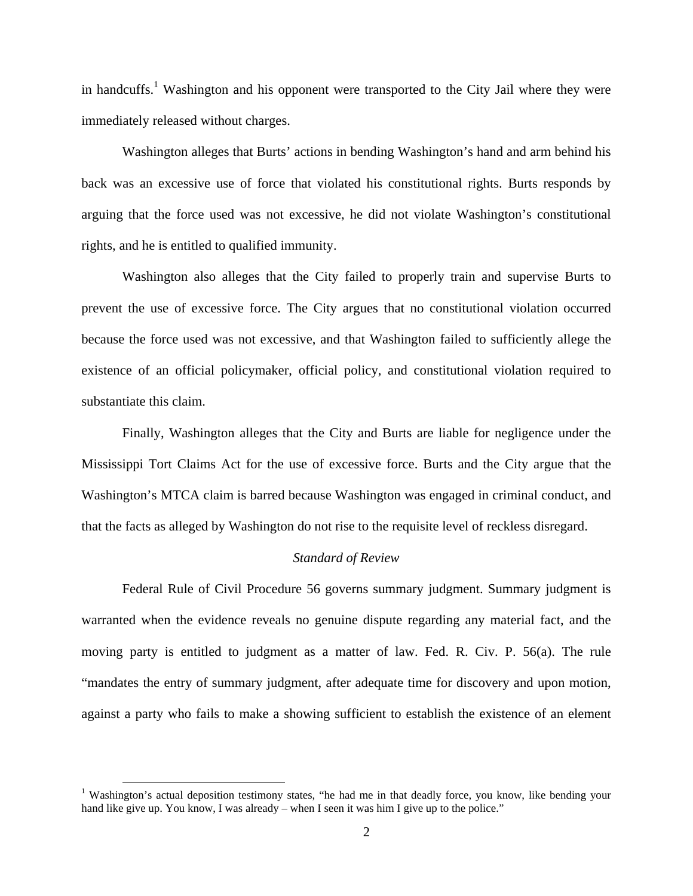in handcuffs.<sup>1</sup> Washington and his opponent were transported to the City Jail where they were immediately released without charges.

Washington alleges that Burts' actions in bending Washington's hand and arm behind his back was an excessive use of force that violated his constitutional rights. Burts responds by arguing that the force used was not excessive, he did not violate Washington's constitutional rights, and he is entitled to qualified immunity.

Washington also alleges that the City failed to properly train and supervise Burts to prevent the use of excessive force. The City argues that no constitutional violation occurred because the force used was not excessive, and that Washington failed to sufficiently allege the existence of an official policymaker, official policy, and constitutional violation required to substantiate this claim.

Finally, Washington alleges that the City and Burts are liable for negligence under the Mississippi Tort Claims Act for the use of excessive force. Burts and the City argue that the Washington's MTCA claim is barred because Washington was engaged in criminal conduct, and that the facts as alleged by Washington do not rise to the requisite level of reckless disregard.

#### *Standard of Review*

Federal Rule of Civil Procedure 56 governs summary judgment. Summary judgment is warranted when the evidence reveals no genuine dispute regarding any material fact, and the moving party is entitled to judgment as a matter of law. Fed. R. Civ. P. 56(a). The rule "mandates the entry of summary judgment, after adequate time for discovery and upon motion, against a party who fails to make a showing sufficient to establish the existence of an element

 $\overline{a}$ 

<sup>&</sup>lt;sup>1</sup> Washington's actual deposition testimony states, "he had me in that deadly force, you know, like bending your hand like give up. You know, I was already – when I seen it was him I give up to the police."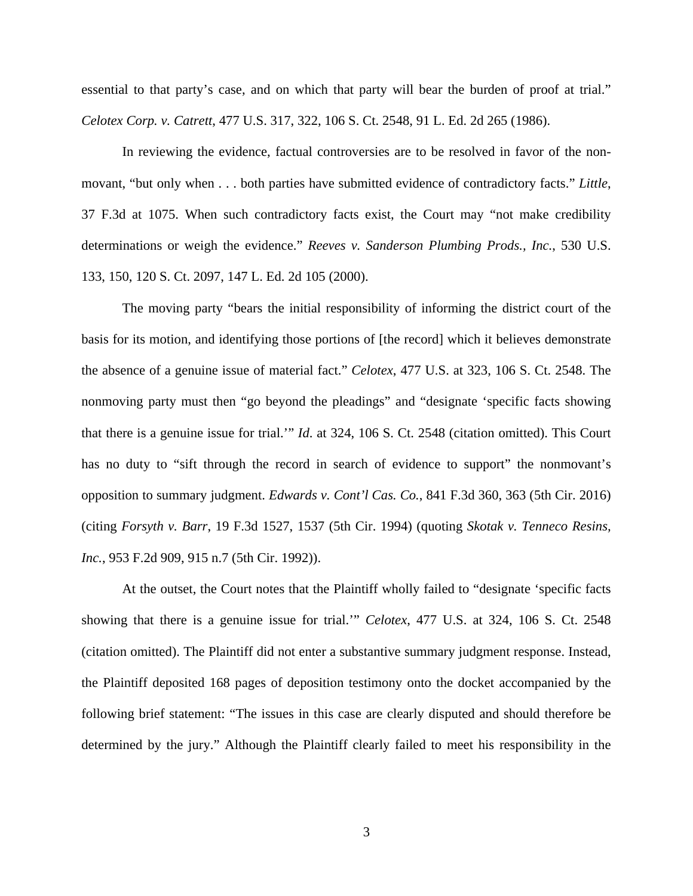essential to that party's case, and on which that party will bear the burden of proof at trial." *Celotex Corp. v. Catrett*, 477 U.S. 317, 322, 106 S. Ct. 2548, 91 L. Ed. 2d 265 (1986).

In reviewing the evidence, factual controversies are to be resolved in favor of the nonmovant, "but only when . . . both parties have submitted evidence of contradictory facts." *Little*, 37 F.3d at 1075. When such contradictory facts exist, the Court may "not make credibility determinations or weigh the evidence." *Reeves v. Sanderson Plumbing Prods., Inc.*, 530 U.S. 133, 150, 120 S. Ct. 2097, 147 L. Ed. 2d 105 (2000).

The moving party "bears the initial responsibility of informing the district court of the basis for its motion, and identifying those portions of [the record] which it believes demonstrate the absence of a genuine issue of material fact." *Celotex*, 477 U.S. at 323, 106 S. Ct. 2548. The nonmoving party must then "go beyond the pleadings" and "designate 'specific facts showing that there is a genuine issue for trial.'" *Id*. at 324, 106 S. Ct. 2548 (citation omitted). This Court has no duty to "sift through the record in search of evidence to support" the nonmovant's opposition to summary judgment. *Edwards v. Cont'l Cas. Co.*, 841 F.3d 360, 363 (5th Cir. 2016) (citing *Forsyth v. Barr*, 19 F.3d 1527, 1537 (5th Cir. 1994) (quoting *Skotak v. Tenneco Resins, Inc.*, 953 F.2d 909, 915 n.7 (5th Cir. 1992)).

At the outset, the Court notes that the Plaintiff wholly failed to "designate 'specific facts showing that there is a genuine issue for trial.'" *Celotex*, 477 U.S. at 324, 106 S. Ct. 2548 (citation omitted). The Plaintiff did not enter a substantive summary judgment response. Instead, the Plaintiff deposited 168 pages of deposition testimony onto the docket accompanied by the following brief statement: "The issues in this case are clearly disputed and should therefore be determined by the jury." Although the Plaintiff clearly failed to meet his responsibility in the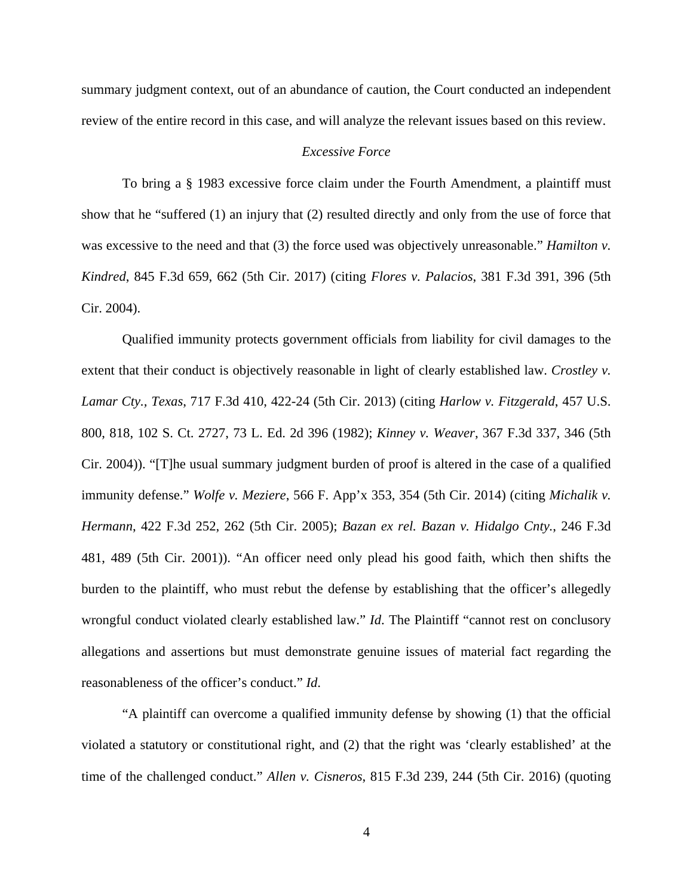summary judgment context, out of an abundance of caution, the Court conducted an independent review of the entire record in this case, and will analyze the relevant issues based on this review.

#### *Excessive Force*

To bring a § 1983 excessive force claim under the Fourth Amendment, a plaintiff must show that he "suffered (1) an injury that (2) resulted directly and only from the use of force that was excessive to the need and that (3) the force used was objectively unreasonable." *Hamilton v. Kindred*, 845 F.3d 659, 662 (5th Cir. 2017) (citing *Flores v. Palacios*, 381 F.3d 391, 396 (5th Cir. 2004).

Qualified immunity protects government officials from liability for civil damages to the extent that their conduct is objectively reasonable in light of clearly established law. *Crostley v. Lamar Cty., Texas*, 717 F.3d 410, 422-24 (5th Cir. 2013) (citing *Harlow v. Fitzgerald*, 457 U.S. 800, 818, 102 S. Ct. 2727, 73 L. Ed. 2d 396 (1982); *Kinney v. Weaver*, 367 F.3d 337, 346 (5th Cir. 2004)). "[T]he usual summary judgment burden of proof is altered in the case of a qualified immunity defense." *Wolfe v. Meziere*, 566 F. App'x 353, 354 (5th Cir. 2014) (citing *Michalik v. Hermann*, 422 F.3d 252, 262 (5th Cir. 2005); *Bazan ex rel. Bazan v. Hidalgo Cnty.*, 246 F.3d 481, 489 (5th Cir. 2001)). "An officer need only plead his good faith, which then shifts the burden to the plaintiff, who must rebut the defense by establishing that the officer's allegedly wrongful conduct violated clearly established law." *Id*. The Plaintiff "cannot rest on conclusory allegations and assertions but must demonstrate genuine issues of material fact regarding the reasonableness of the officer's conduct." *Id*.

"A plaintiff can overcome a qualified immunity defense by showing (1) that the official violated a statutory or constitutional right, and (2) that the right was 'clearly established' at the time of the challenged conduct." *Allen v. Cisneros*, 815 F.3d 239, 244 (5th Cir. 2016) (quoting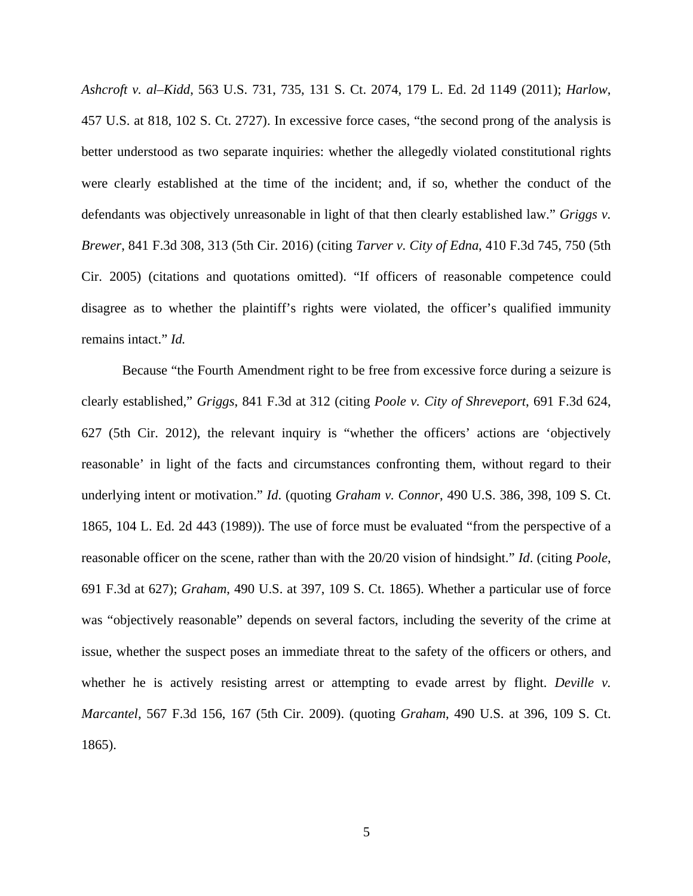*Ashcroft v. al–Kidd*, 563 U.S. 731, 735, 131 S. Ct. 2074, 179 L. Ed. 2d 1149 (2011); *Harlow*, 457 U.S. at 818, 102 S. Ct. 2727). In excessive force cases, "the second prong of the analysis is better understood as two separate inquiries: whether the allegedly violated constitutional rights were clearly established at the time of the incident; and, if so, whether the conduct of the defendants was objectively unreasonable in light of that then clearly established law." *Griggs v. Brewer*, 841 F.3d 308, 313 (5th Cir. 2016) (citing *Tarver v. City of Edna*, 410 F.3d 745, 750 (5th Cir. 2005) (citations and quotations omitted). "If officers of reasonable competence could disagree as to whether the plaintiff's rights were violated, the officer's qualified immunity remains intact." *Id.*

Because "the Fourth Amendment right to be free from excessive force during a seizure is clearly established," *Griggs*, 841 F.3d at 312 (citing *Poole v. City of Shreveport*, 691 F.3d 624, 627 (5th Cir. 2012), the relevant inquiry is "whether the officers' actions are 'objectively reasonable' in light of the facts and circumstances confronting them, without regard to their underlying intent or motivation." *Id*. (quoting *Graham v. Connor*, 490 U.S. 386, 398, 109 S. Ct. 1865, 104 L. Ed. 2d 443 (1989)). The use of force must be evaluated "from the perspective of a reasonable officer on the scene, rather than with the 20/20 vision of hindsight." *Id*. (citing *Poole*, 691 F.3d at 627); *Graham*, 490 U.S. at 397, 109 S. Ct. 1865). Whether a particular use of force was "objectively reasonable" depends on several factors, including the severity of the crime at issue, whether the suspect poses an immediate threat to the safety of the officers or others, and whether he is actively resisting arrest or attempting to evade arrest by flight. *Deville v. Marcantel*, 567 F.3d 156, 167 (5th Cir. 2009). (quoting *Graham*, 490 U.S. at 396, 109 S. Ct. 1865).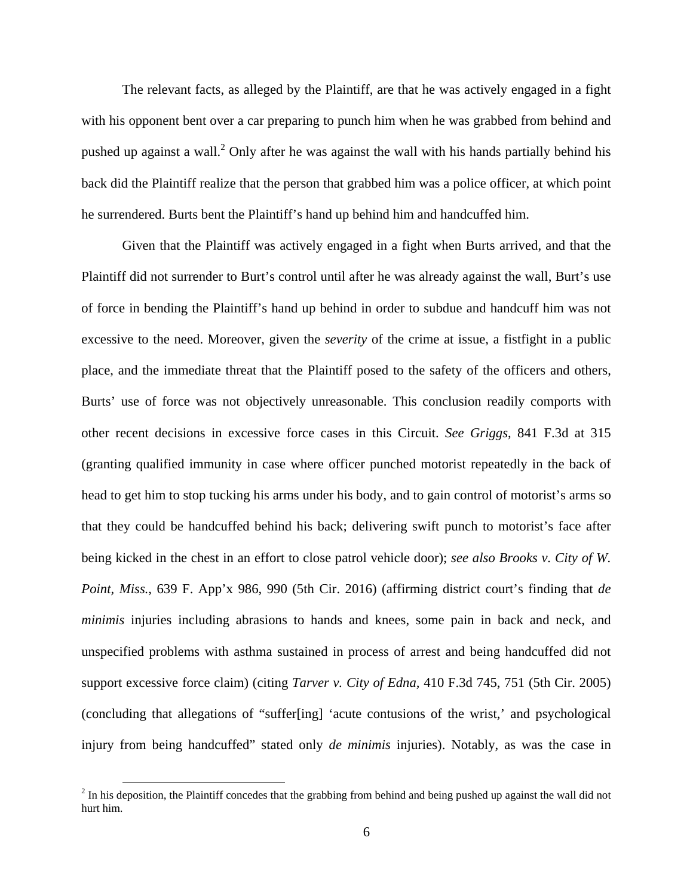The relevant facts, as alleged by the Plaintiff, are that he was actively engaged in a fight with his opponent bent over a car preparing to punch him when he was grabbed from behind and pushed up against a wall.<sup>2</sup> Only after he was against the wall with his hands partially behind his back did the Plaintiff realize that the person that grabbed him was a police officer, at which point he surrendered. Burts bent the Plaintiff's hand up behind him and handcuffed him.

Given that the Plaintiff was actively engaged in a fight when Burts arrived, and that the Plaintiff did not surrender to Burt's control until after he was already against the wall, Burt's use of force in bending the Plaintiff's hand up behind in order to subdue and handcuff him was not excessive to the need. Moreover, given the *severity* of the crime at issue, a fistfight in a public place, and the immediate threat that the Plaintiff posed to the safety of the officers and others, Burts' use of force was not objectively unreasonable. This conclusion readily comports with other recent decisions in excessive force cases in this Circuit. *See Griggs*, 841 F.3d at 315 (granting qualified immunity in case where officer punched motorist repeatedly in the back of head to get him to stop tucking his arms under his body, and to gain control of motorist's arms so that they could be handcuffed behind his back; delivering swift punch to motorist's face after being kicked in the chest in an effort to close patrol vehicle door); *see also Brooks v. City of W. Point, Miss.*, 639 F. App'x 986, 990 (5th Cir. 2016) (affirming district court's finding that *de minimis* injuries including abrasions to hands and knees, some pain in back and neck, and unspecified problems with asthma sustained in process of arrest and being handcuffed did not support excessive force claim) (citing *Tarver v. City of Edna,* 410 F.3d 745, 751 (5th Cir. 2005) (concluding that allegations of "suffer[ing] 'acute contusions of the wrist,' and psychological injury from being handcuffed" stated only *de minimis* injuries). Notably, as was the case in

<u>.</u>

 $2<sup>2</sup>$  In his deposition, the Plaintiff concedes that the grabbing from behind and being pushed up against the wall did not hurt him.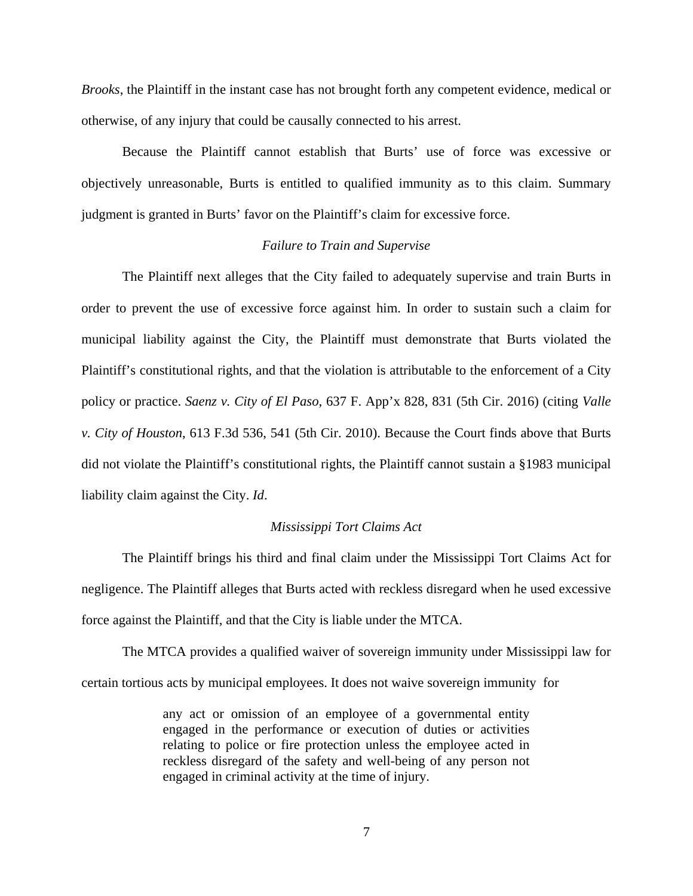*Brooks*, the Plaintiff in the instant case has not brought forth any competent evidence, medical or otherwise, of any injury that could be causally connected to his arrest.

Because the Plaintiff cannot establish that Burts' use of force was excessive or objectively unreasonable, Burts is entitled to qualified immunity as to this claim. Summary judgment is granted in Burts' favor on the Plaintiff's claim for excessive force.

#### *Failure to Train and Supervise*

The Plaintiff next alleges that the City failed to adequately supervise and train Burts in order to prevent the use of excessive force against him. In order to sustain such a claim for municipal liability against the City, the Plaintiff must demonstrate that Burts violated the Plaintiff's constitutional rights, and that the violation is attributable to the enforcement of a City policy or practice. *Saenz v. City of El Paso*, 637 F. App'x 828, 831 (5th Cir. 2016) (citing *Valle v. City of Houston*, 613 F.3d 536, 541 (5th Cir. 2010). Because the Court finds above that Burts did not violate the Plaintiff's constitutional rights, the Plaintiff cannot sustain a §1983 municipal liability claim against the City. *Id*.

#### *Mississippi Tort Claims Act*

The Plaintiff brings his third and final claim under the Mississippi Tort Claims Act for negligence. The Plaintiff alleges that Burts acted with reckless disregard when he used excessive force against the Plaintiff, and that the City is liable under the MTCA.

The MTCA provides a qualified waiver of sovereign immunity under Mississippi law for certain tortious acts by municipal employees. It does not waive sovereign immunity for

> any act or omission of an employee of a governmental entity engaged in the performance or execution of duties or activities relating to police or fire protection unless the employee acted in reckless disregard of the safety and well-being of any person not engaged in criminal activity at the time of injury.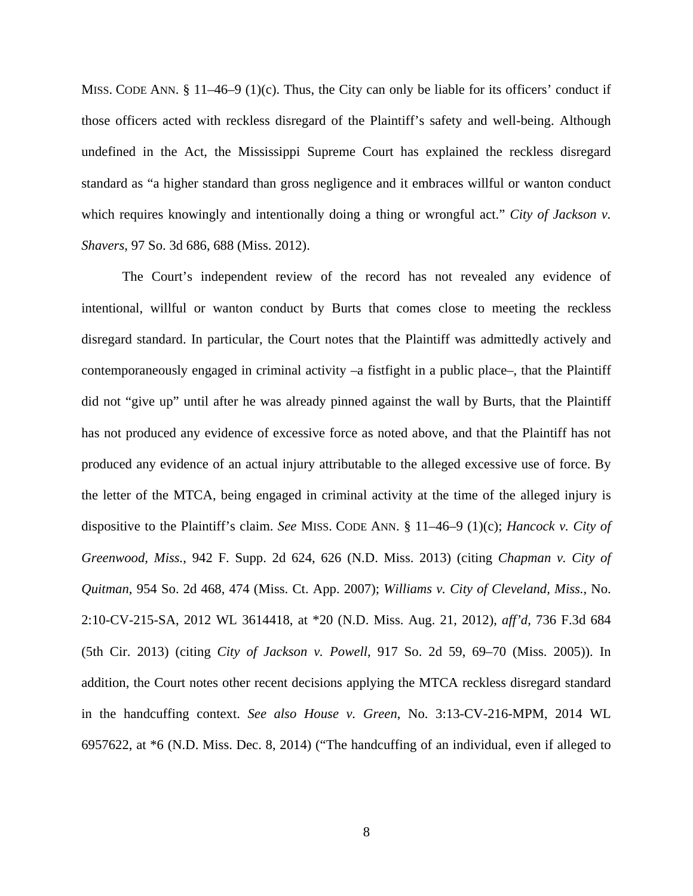MISS. CODE ANN.  $\S 11-46-9$  (1)(c). Thus, the City can only be liable for its officers' conduct if those officers acted with reckless disregard of the Plaintiff's safety and well-being. Although undefined in the Act, the Mississippi Supreme Court has explained the reckless disregard standard as "a higher standard than gross negligence and it embraces willful or wanton conduct which requires knowingly and intentionally doing a thing or wrongful act." *City of Jackson v. Shavers*, 97 So. 3d 686, 688 (Miss. 2012).

The Court's independent review of the record has not revealed any evidence of intentional, willful or wanton conduct by Burts that comes close to meeting the reckless disregard standard. In particular, the Court notes that the Plaintiff was admittedly actively and contemporaneously engaged in criminal activity –a fistfight in a public place–, that the Plaintiff did not "give up" until after he was already pinned against the wall by Burts, that the Plaintiff has not produced any evidence of excessive force as noted above, and that the Plaintiff has not produced any evidence of an actual injury attributable to the alleged excessive use of force. By the letter of the MTCA, being engaged in criminal activity at the time of the alleged injury is dispositive to the Plaintiff's claim. *See* MISS. CODE ANN. § 11–46–9 (1)(c); *Hancock v. City of Greenwood, Miss.*, 942 F. Supp. 2d 624, 626 (N.D. Miss. 2013) (citing *Chapman v. City of Quitman*, 954 So. 2d 468, 474 (Miss. Ct. App. 2007); *Williams v. City of Cleveland, Miss.*, No. 2:10-CV-215-SA, 2012 WL 3614418, at \*20 (N.D. Miss. Aug. 21, 2012), *aff'd,* 736 F.3d 684 (5th Cir. 2013) (citing *City of Jackson v. Powell*, 917 So. 2d 59, 69–70 (Miss. 2005)). In addition, the Court notes other recent decisions applying the MTCA reckless disregard standard in the handcuffing context. *See also House v. Green*, No. 3:13-CV-216-MPM, 2014 WL 6957622, at \*6 (N.D. Miss. Dec. 8, 2014) ("The handcuffing of an individual, even if alleged to